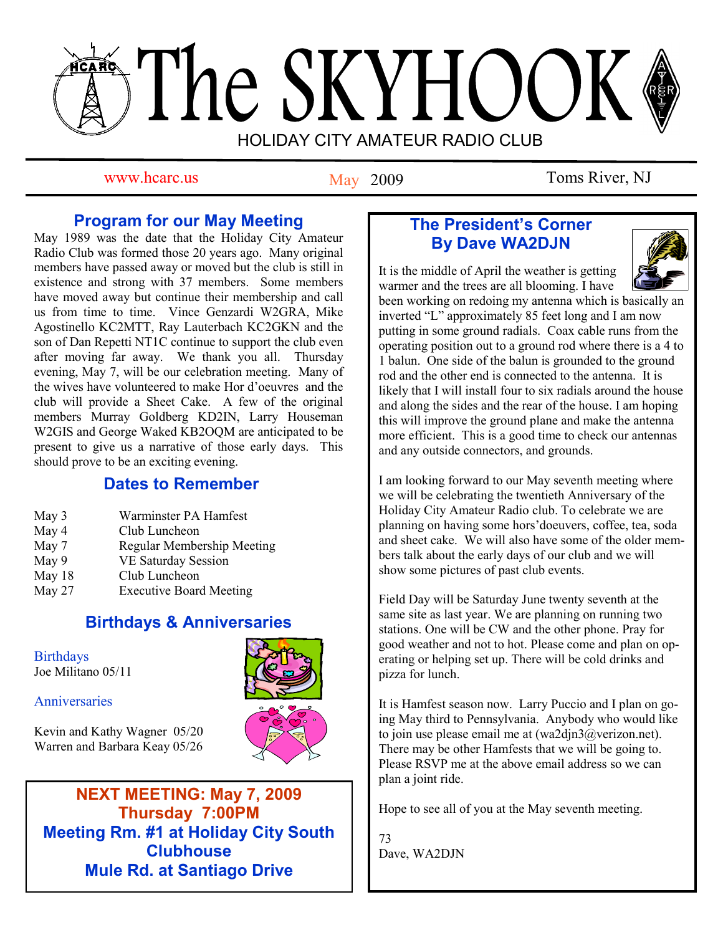# The SKYHOOK HOLIDAY CITY AMATEUR RADIO CLUB

May 2009

www.hcarc.us May 2009 Toms River, NJ

# **Program for our May Meeting**

May 1989 was the date that the Holiday City Amateur Radio Club was formed those 20 years ago. Many original members have passed away or moved but the club is still in existence and strong with 37 members. Some members have moved away but continue their membership and call us from time to time. Vince Genzardi W2GRA, Mike Agostinello KC2MTT, Ray Lauterbach KC2GKN and the son of Dan Repetti NT1C continue to support the club even after moving far away. We thank you all. Thursday evening, May 7, will be our celebration meeting. Many of the wives have volunteered to make Hor d"oeuvres and the club will provide a Sheet Cake. A few of the original members Murray Goldberg KD2IN, Larry Houseman W2GIS and George Waked KB2OQM are anticipated to be present to give us a narrative of those early days. This should prove to be an exciting evening.

# **Dates to Remember**

| May 3 | Warminster PA Hamfest      |
|-------|----------------------------|
| May 4 | Club Luncheon              |
| May 7 | Regular Membership Meeting |
| May 9 | <b>VE Saturday Session</b> |

- May 18 Club Luncheon
- May 27 Executive Board Meeting

# **Birthdays & Anniversaries**

**Birthdays** Joe Militano 05/11

Anniversaries

Kevin and Kathy Wagner 05/20 Warren and Barbara Keay 05/26



**NEXT MEETING: May 7, 2009 Thursday 7:00PM Meeting Rm. #1 at Holiday City South Clubhouse Mule Rd. at Santiago Drive**

# **The President's Corner By Dave WA2DJN**

It is the middle of April the weather is getting warmer and the trees are all blooming. I have



been working on redoing my antenna which is basically an inverted "L" approximately 85 feet long and I am now putting in some ground radials. Coax cable runs from the operating position out to a ground rod where there is a 4 to 1 balun. One side of the balun is grounded to the ground rod and the other end is connected to the antenna. It is likely that I will install four to six radials around the house and along the sides and the rear of the house. I am hoping this will improve the ground plane and make the antenna more efficient. This is a good time to check our antennas and any outside connectors, and grounds.

I am looking forward to our May seventh meeting where we will be celebrating the twentieth Anniversary of the Holiday City Amateur Radio club. To celebrate we are planning on having some hors"doeuvers, coffee, tea, soda and sheet cake. We will also have some of the older members talk about the early days of our club and we will show some pictures of past club events.

Field Day will be Saturday June twenty seventh at the same site as last year. We are planning on running two stations. One will be CW and the other phone. Pray for good weather and not to hot. Please come and plan on operating or helping set up. There will be cold drinks and pizza for lunch.

It is Hamfest season now. Larry Puccio and I plan on going May third to Pennsylvania. Anybody who would like to join use please email me at (wa2djn3@verizon.net). There may be other Hamfests that we will be going to. Please RSVP me at the above email address so we can plan a joint ride.

Hope to see all of you at the May seventh meeting.

73 Dave, WA2DJN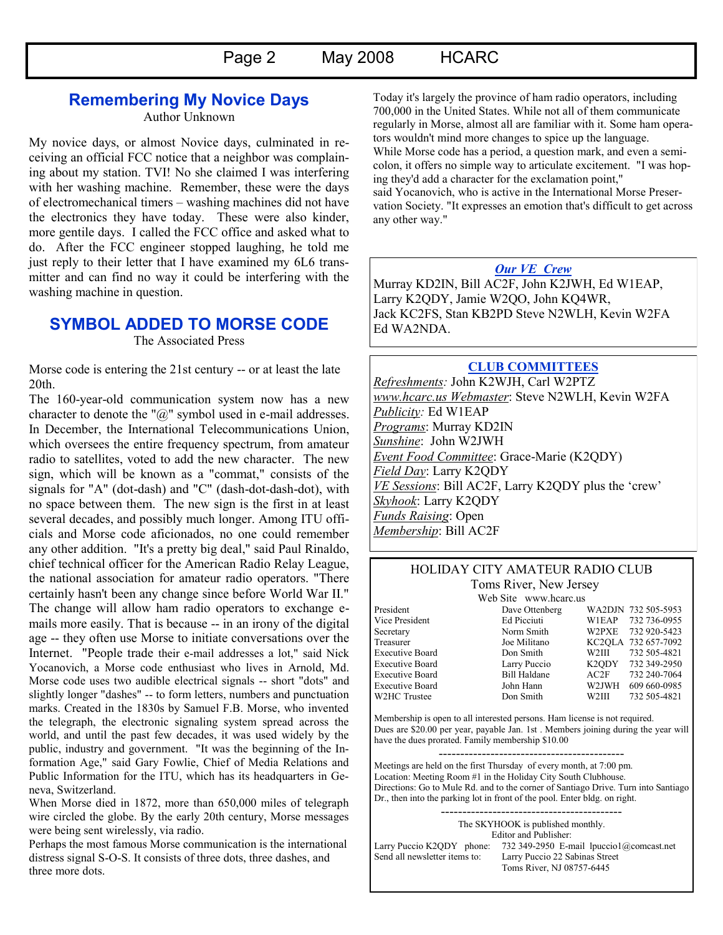# **Remembering My Novice Days**

Author Unknown

My novice days, or almost Novice days, culminated in receiving an official FCC notice that a neighbor was complaining about my station. TVI! No she claimed I was interfering with her washing machine. Remember, these were the days of electromechanical timers – washing machines did not have the electronics they have today. These were also kinder, more gentile days. I called the FCC office and asked what to do. After the FCC engineer stopped laughing, he told me just reply to their letter that I have examined my 6L6 transmitter and can find no way it could be interfering with the washing machine in question.

## **SYMBOL ADDED TO MORSE CODE**

The Associated Press

Morse code is entering the 21st century -- or at least the late 20th.

The 160-year-old communication system now has a new character to denote the "@" symbol used in e-mail addresses. In December, the International Telecommunications Union, which oversees the entire frequency spectrum, from amateur radio to satellites, voted to add the new character. The new sign, which will be known as a "commat," consists of the signals for "A" (dot-dash) and "C" (dash-dot-dash-dot), with no space between them. The new sign is the first in at least several decades, and possibly much longer. Among ITU officials and Morse code aficionados, no one could remember any other addition. "It's a pretty big deal," said Paul Rinaldo, chief technical officer for the American Radio Relay League, the national association for amateur radio operators. "There certainly hasn't been any change since before World War II." The change will allow ham radio operators to exchange emails more easily. That is because -- in an irony of the digital age -- they often use Morse to initiate conversations over the Internet. "People trade their e-mail addresses a lot," said Nick Yocanovich, a Morse code enthusiast who lives in Arnold, Md. Morse code uses two audible electrical signals -- short "dots" and slightly longer "dashes" -- to form letters, numbers and punctuation marks. Created in the 1830s by Samuel F.B. Morse, who invented the telegraph, the electronic signaling system spread across the world, and until the past few decades, it was used widely by the public, industry and government. "It was the beginning of the Information Age," said Gary Fowlie, Chief of Media Relations and Public Information for the ITU, which has its headquarters in Geneva, Switzerland.

When Morse died in 1872, more than 650,000 miles of telegraph wire circled the globe. By the early 20th century, Morse messages were being sent wirelessly, via radio.

Perhaps the most famous Morse communication is the international distress signal S-O-S. It consists of three dots, three dashes, and three more dots.

Today it's largely the province of ham radio operators, including 700,000 in the United States. While not all of them communicate regularly in Morse, almost all are familiar with it. Some ham operators wouldn't mind more changes to spice up the language. While Morse code has a period, a question mark, and even a semicolon, it offers no simple way to articulate excitement. "I was hoping they'd add a character for the exclamation point," said Yocanovich, who is active in the International Morse Preservation Society. "It expresses an emotion that's difficult to get across any other way."

#### *Our VE Crew*

Murray KD2IN, Bill AC2F, John K2JWH, Ed W1EAP, Larry K2QDY, Jamie W2QO, John KQ4WR, Jack KC2FS, Stan KB2PD Steve N2WLH, Kevin W2FA Ed WA2NDA.

#### **CLUB COMMITTEES**

*Refreshments:* John K2WJH, Carl W2PTZ *www.hcarc.us Webmaster*: Steve N2WLH, Kevin W2FA *Publicity:* Ed W1EAP *Programs*: Murray KD2IN *Sunshine*: John W2JWH *Event Food Committee*: Grace-Marie (K2QDY) *Field Day*: Larry K2QDY *VE Sessions*: Bill AC2F, Larry K2QDY plus the "crew" *Skyhook*: Larry K2QDY *Funds Raising*: Open *Membership*: Bill AC2F

#### HOLIDAY CITY AMATEUR RADIO CLUB Toms River, New Jersey

Web Site www.hcarc.us<br>Dave Ottenberg President Dave Ottenberg WA2DJN 732 505-5953<br>
Vice President Ed Picciuti WIEAP 732 736-0955 Vice President Ed Picciuti W1EAP 732 736-0955<br>Secretary Norm Smith W2PXE 732 920-5423 W2PXE 732 920-5423 Treasurer Joe Militano KC2QLA 732 657-7092 Executive Board Don Smith W2III 732 505-4821 Executive Board Larry Puccio K2ODY 732 349-2950 Executive Board Bill Haldane AC2F 732 240-7064<br>Executive Board John Hann W2JWH 609 660-0985 Executive Board John Hann W2JWH 609 660-0985<br>W2HC Trustee  $\frac{1}{2}$ Don Smith W2III 732 505-4821 W2HC Trustee Don Smith W2III 732 505-4821

Membership is open to all interested persons. Ham license is not required. Dues are \$20.00 per year, payable Jan. 1st . Members joining during the year will have the dues prorated. Family membership \$10.00

------------------------------------------- Meetings are held on the first Thursday of every month, at 7:00 pm. Location: Meeting Room #1 in the Holiday City South Clubhouse. Directions: Go to Mule Rd. and to the corner of Santiago Drive. Turn into Santiago Dr., then into the parking lot in front of the pool. Enter bldg. on right.

The SKYHOOK is published monthly. Editor and Publisher: Larry Puccio K2QDY phone: 732 349-2950 E-mail lpuccio1@comcast.net<br>Send all newsletter items to: Larry Puccio 22 Sabinas Street Larry Puccio 22 Sabinas Street Toms River, NJ 08757-6445

------------------------------------------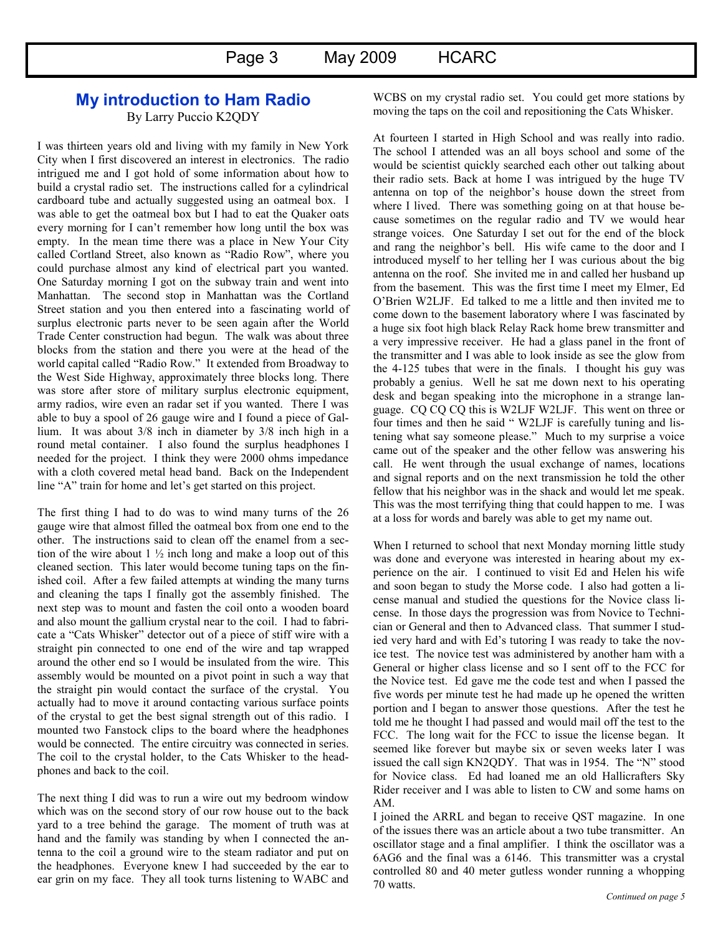## **My introduction to Ham Radio** By Larry Puccio K2QDY

I was thirteen years old and living with my family in New York City when I first discovered an interest in electronics. The radio intrigued me and I got hold of some information about how to build a crystal radio set. The instructions called for a cylindrical cardboard tube and actually suggested using an oatmeal box. I was able to get the oatmeal box but I had to eat the Quaker oats every morning for I can"t remember how long until the box was empty. In the mean time there was a place in New Your City called Cortland Street, also known as "Radio Row", where you could purchase almost any kind of electrical part you wanted. One Saturday morning I got on the subway train and went into Manhattan. The second stop in Manhattan was the Cortland Street station and you then entered into a fascinating world of surplus electronic parts never to be seen again after the World Trade Center construction had begun. The walk was about three blocks from the station and there you were at the head of the world capital called "Radio Row." It extended from Broadway to the West Side Highway, approximately three blocks long. There was store after store of military surplus electronic equipment, army radios, wire even an radar set if you wanted. There I was able to buy a spool of 26 gauge wire and I found a piece of Gallium. It was about 3/8 inch in diameter by 3/8 inch high in a round metal container. I also found the surplus headphones I needed for the project. I think they were 2000 ohms impedance with a cloth covered metal head band. Back on the Independent line "A" train for home and let's get started on this project.

The first thing I had to do was to wind many turns of the 26 gauge wire that almost filled the oatmeal box from one end to the other. The instructions said to clean off the enamel from a section of the wire about  $1\frac{1}{2}$  inch long and make a loop out of this cleaned section. This later would become tuning taps on the finished coil. After a few failed attempts at winding the many turns and cleaning the taps I finally got the assembly finished. The next step was to mount and fasten the coil onto a wooden board and also mount the gallium crystal near to the coil. I had to fabricate a "Cats Whisker" detector out of a piece of stiff wire with a straight pin connected to one end of the wire and tap wrapped around the other end so I would be insulated from the wire. This assembly would be mounted on a pivot point in such a way that the straight pin would contact the surface of the crystal. You actually had to move it around contacting various surface points of the crystal to get the best signal strength out of this radio. I mounted two Fanstock clips to the board where the headphones would be connected. The entire circuitry was connected in series. The coil to the crystal holder, to the Cats Whisker to the headphones and back to the coil.

The next thing I did was to run a wire out my bedroom window which was on the second story of our row house out to the back yard to a tree behind the garage. The moment of truth was at hand and the family was standing by when I connected the antenna to the coil a ground wire to the steam radiator and put on the headphones. Everyone knew I had succeeded by the ear to ear grin on my face. They all took turns listening to WABC and WCBS on my crystal radio set. You could get more stations by moving the taps on the coil and repositioning the Cats Whisker.

At fourteen I started in High School and was really into radio. The school I attended was an all boys school and some of the would be scientist quickly searched each other out talking about their radio sets. Back at home I was intrigued by the huge TV antenna on top of the neighbor"s house down the street from where I lived. There was something going on at that house because sometimes on the regular radio and TV we would hear strange voices. One Saturday I set out for the end of the block and rang the neighbor"s bell. His wife came to the door and I introduced myself to her telling her I was curious about the big antenna on the roof. She invited me in and called her husband up from the basement. This was the first time I meet my Elmer, Ed O"Brien W2LJF. Ed talked to me a little and then invited me to come down to the basement laboratory where I was fascinated by a huge six foot high black Relay Rack home brew transmitter and a very impressive receiver. He had a glass panel in the front of the transmitter and I was able to look inside as see the glow from the 4-125 tubes that were in the finals. I thought his guy was probably a genius. Well he sat me down next to his operating desk and began speaking into the microphone in a strange language. CQ CQ CQ this is W2LJF W2LJF. This went on three or four times and then he said " W2LJF is carefully tuning and listening what say someone please." Much to my surprise a voice came out of the speaker and the other fellow was answering his call. He went through the usual exchange of names, locations and signal reports and on the next transmission he told the other fellow that his neighbor was in the shack and would let me speak. This was the most terrifying thing that could happen to me. I was at a loss for words and barely was able to get my name out.

When I returned to school that next Monday morning little study was done and everyone was interested in hearing about my experience on the air. I continued to visit Ed and Helen his wife and soon began to study the Morse code. I also had gotten a license manual and studied the questions for the Novice class license. In those days the progression was from Novice to Technician or General and then to Advanced class. That summer I studied very hard and with Ed"s tutoring I was ready to take the novice test. The novice test was administered by another ham with a General or higher class license and so I sent off to the FCC for the Novice test. Ed gave me the code test and when I passed the five words per minute test he had made up he opened the written portion and I began to answer those questions. After the test he told me he thought I had passed and would mail off the test to the FCC. The long wait for the FCC to issue the license began. It seemed like forever but maybe six or seven weeks later I was issued the call sign KN2QDY. That was in 1954. The "N" stood for Novice class. Ed had loaned me an old Hallicrafters Sky Rider receiver and I was able to listen to CW and some hams on AM.

I joined the ARRL and began to receive QST magazine. In one of the issues there was an article about a two tube transmitter. An oscillator stage and a final amplifier. I think the oscillator was a 6AG6 and the final was a 6146. This transmitter was a crystal controlled 80 and 40 meter gutless wonder running a whopping 70 watts.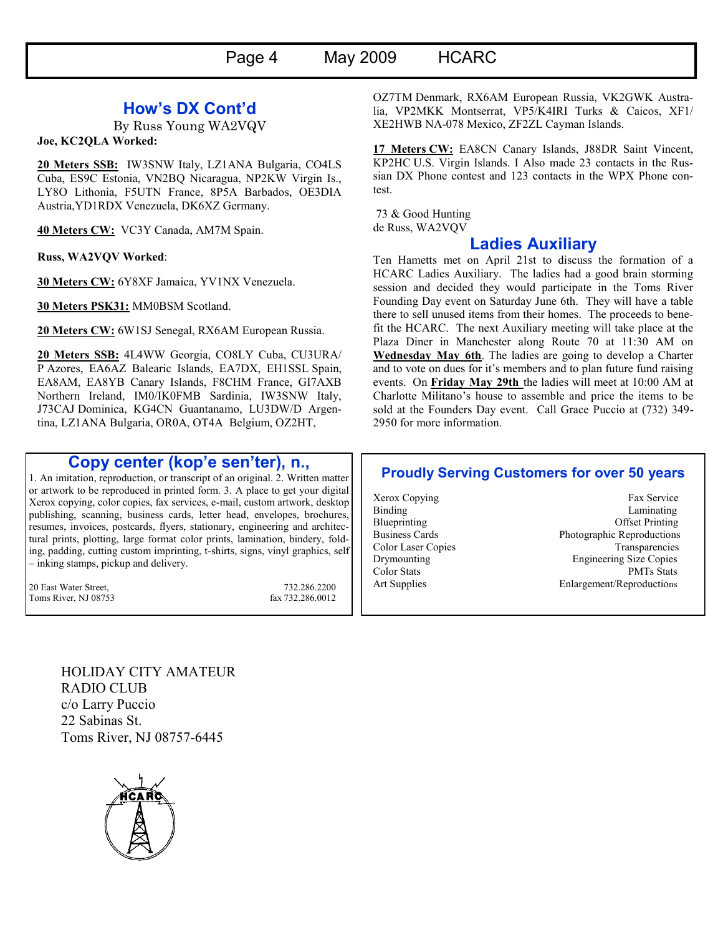## **How's DX Cont'd**

By Russ Young WA2VQV

**Joe, KC2QLA Worked:**

**20 Meters SSB:** IW3SNW Italy, LZ1ANA Bulgaria, CO4LS Cuba, ES9C Estonia, VN2BQ Nicaragua, NP2KW Virgin Is., LY8O Lithonia, F5UTN France, 8P5A Barbados, OE3DIA Austria,YD1RDX Venezuela, DK6XZ Germany.

**40 Meters CW:** VC3Y Canada, AM7M Spain.

**Russ, WA2VQV Worked**:

**30 Meters CW:** 6Y8XF Jamaica, YV1NX Venezuela.

**30 Meters PSK31:** MM0BSM Scotland.

**20 Meters CW:** 6W1SJ Senegal, RX6AM European Russia.

**20 Meters SSB:** 4L4WW Georgia, CO8LY Cuba, CU3URA/ P Azores, EA6AZ Balearic Islands, EA7DX, EH1SSL Spain, EA8AM, EA8YB Canary Islands, F8CHM France, GI7AXB Northern Ireland, IM0/IK0FMB Sardinia, IW3SNW Italy, J73CAJ Dominica, KG4CN Guantanamo, LU3DW/D Argentina, LZ1ANA Bulgaria, OR0A, OT4A Belgium, OZ2HT,

## **Copy center (kop'e sen'ter), n.,**

1. An imitation, reproduction, or transcript of an original. 2. Written matter or artwork to be reproduced in printed form. 3. A place to get your digital Xerox copying, color copies, fax services, e-mail, custom artwork, desktop publishing, scanning, business cards, letter head, envelopes, brochures, resumes, invoices, postcards, flyers, stationary, engineering and architectural prints, plotting, large format color prints, lamination, bindery, folding, padding, cutting custom imprinting, t-shirts, signs, vinyl graphics, self – inking stamps, pickup and delivery.

20 East Water Street, 732.286.2200 Toms River, NJ 08753 fax 732.286.0012

OZ7TM Denmark, RX6AM European Russia, VK2GWK Australia, VP2MKK Montserrat, VP5/K4IRI Turks & Caicos, XF1/ XE2HWB NA-078 Mexico, ZF2ZL Cayman Islands.

**17 Meters CW:** EA8CN Canary Islands, J88DR Saint Vincent, KP2HC U.S. Virgin Islands. I Also made 23 contacts in the Russian DX Phone contest and 123 contacts in the WPX Phone contest.

73 & Good Hunting de Russ, WA2VQV

## **Ladies Auxiliary**

Ten Hametts met on April 21st to discuss the formation of a HCARC Ladies Auxiliary. The ladies had a good brain storming session and decided they would participate in the Toms River Founding Day event on Saturday June 6th. They will have a table there to sell unused items from their homes. The proceeds to benefit the HCARC. The next Auxiliary meeting will take place at the Plaza Diner in Manchester along Route 70 at 11:30 AM on **Wednesday May 6th**. The ladies are going to develop a Charter and to vote on dues for it's members and to plan future fund raising events. On **Friday May 29th** the ladies will meet at 10:00 AM at Charlotte Militano"s house to assemble and price the items to be sold at the Founders Day event. Call Grace Puccio at (732) 349- 2950 for more information.

## **Proudly Serving Customers for over 50 years**

Xerox Copying Fax Service Binding Laminating Laminating Blueprinting Offset Printing Business Cards Photographic Reproductions Color Laser Copies Transparencies Drymounting Engineering Size Copies Color Stats PMTs Stats Art Supplies Enlargement/Reproductions

HOLIDAY CITY AMATEUR RADIO CLUB c/o Larry Puccio 22 Sabinas St. Toms River, NJ 08757-6445